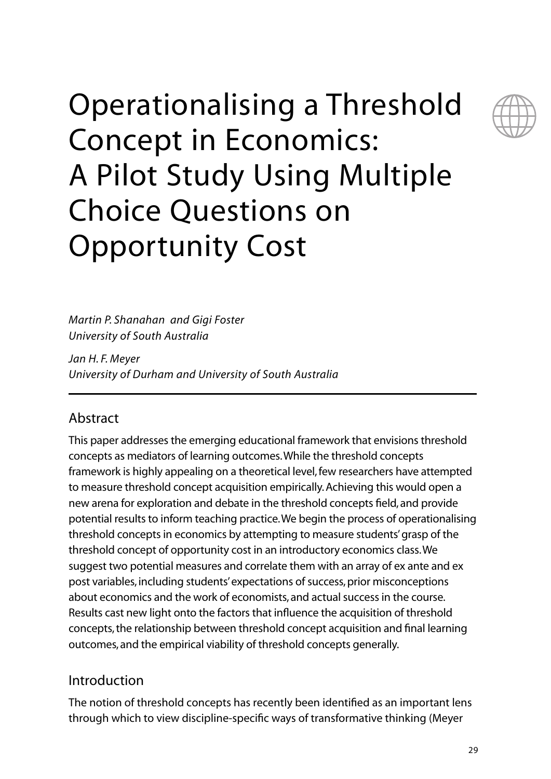

# Operationalising a Threshold Concept in Economics: A Pilot Study Using Multiple Choice Questions on Opportunity Cost

*Martin P. Shanahan and Gigi Foster University of South Australia*

*Jan H. F. Meyer University of Durham and University of South Australia*

# **Abstract**

This paper addresses the emerging educational framework that envisions threshold concepts as mediators of learning outcomes.While the threshold concepts framework is highly appealing on a theoretical level, few researchers have attempted to measure threshold concept acquisition empirically. Achieving this would open a new arena for exploration and debate in the threshold concepts field, and provide potential results to inform teaching practice.We begin the process of operationalising threshold concepts in economics by attempting to measure students'grasp of the threshold concept of opportunity cost in an introductory economics class.We suggest two potential measures and correlate them with an array of ex ante and ex post variables, including students'expectations of success, prior misconceptions about economics and the work of economists, and actual success in the course. Results cast new light onto the factors that influence the acquisition of threshold concepts, the relationship between threshold concept acquisition and final learning outcomes, and the empirical viability of threshold concepts generally.

# Introduction

The notion of threshold concepts has recently been identified as an important lens through which to view discipline-specific ways of transformative thinking (Meyer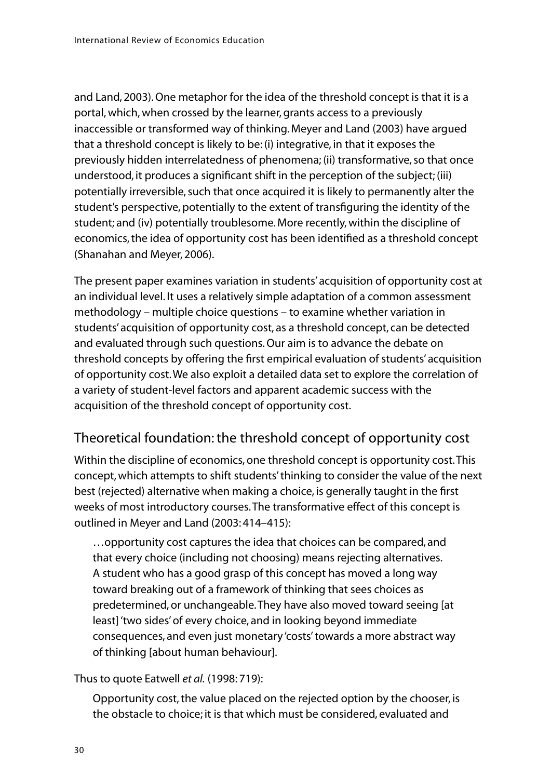and Land, 2003). One metaphor for the idea of the threshold concept is that it is a portal, which, when crossed by the learner, grants access to a previously inaccessible or transformed way of thinking. Meyer and Land (2003) have argued that a threshold concept is likely to be: (i) integrative, in that it exposes the previously hidden interrelatedness of phenomena; (ii) transformative, so that once understood, it produces a significant shift in the perception of the subject; (iii) potentially irreversible, such that once acquired it is likely to permanently alter the student's perspective, potentially to the extent of transfiguring the identity of the student; and (iv) potentially troublesome. More recently, within the discipline of economics, the idea of opportunity cost has been identified as a threshold concept (Shanahan and Meyer, 2006).

The present paper examines variation in students' acquisition of opportunity cost at an individual level. It uses a relatively simple adaptation of a common assessment methodology – multiple choice questions – to examine whether variation in students' acquisition of opportunity cost, as a threshold concept, can be detected and evaluated through such questions. Our aim is to advance the debate on threshold concepts by offering the first empirical evaluation of students' acquisition of opportunity cost.We also exploit a detailed data set to explore the correlation of a variety of student-level factors and apparent academic success with the acquisition of the threshold concept of opportunity cost.

## Theoretical foundation: the threshold concept of opportunity cost

Within the discipline of economics, one threshold concept is opportunity cost.This concept, which attempts to shift students' thinking to consider the value of the next best (rejected) alternative when making a choice, is generally taught in the first weeks of most introductory courses.The transformative effect of this concept is outlined in Meyer and Land (2003: 414–415):

…opportunity cost captures the idea that choices can be compared, and that every choice (including not choosing) means rejecting alternatives. A student who has a good grasp of this concept has moved a long way toward breaking out of a framework of thinking that sees choices as predetermined, or unchangeable.They have also moved toward seeing [at least] 'two sides' of every choice, and in looking beyond immediate consequences, and even just monetary 'costs' towards a more abstract way of thinking [about human behaviour].

Thus to quote Eatwell *et al.* (1998: 719):

Opportunity cost, the value placed on the rejected option by the chooser, is the obstacle to choice; it is that which must be considered, evaluated and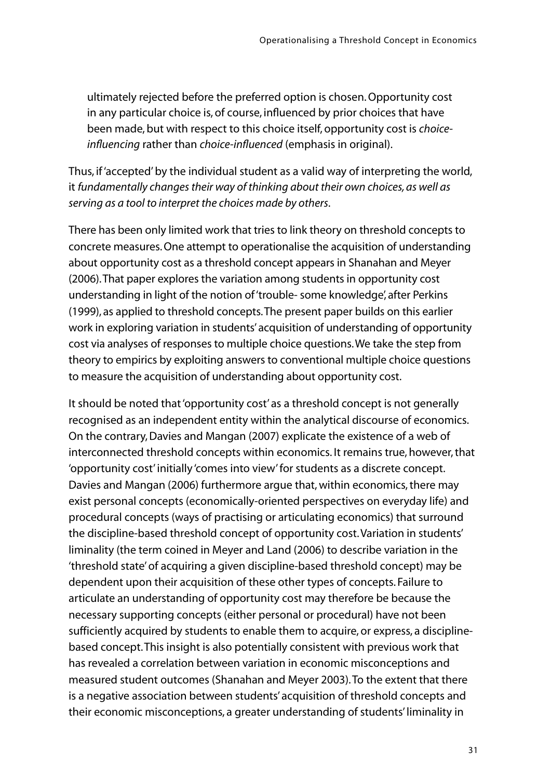ultimately rejected before the preferred option is chosen. Opportunity cost in any particular choice is, of course, influenced by prior choices that have been made, but with respect to this choice itself, opportunity cost is *choiceinfluencing* rather than *choice-influenced* (emphasis in original).

Thus, if 'accepted' by the individual student as a valid way of interpreting the world, it *fundamentally changes their way of thinking about their own choices, as well as serving as a tool to interpret the choices made by others*.

There has been only limited work that tries to link theory on threshold concepts to concrete measures. One attempt to operationalise the acquisition of understanding about opportunity cost as a threshold concept appears in Shanahan and Meyer (2006).That paper explores the variation among students in opportunity cost understanding in light of the notion of 'trouble- some knowledge', after Perkins (1999), as applied to threshold concepts.The present paper builds on this earlier work in exploring variation in students' acquisition of understanding of opportunity cost via analyses of responses to multiple choice questions.We take the step from theory to empirics by exploiting answers to conventional multiple choice questions to measure the acquisition of understanding about opportunity cost.

It should be noted that 'opportunity cost' as a threshold concept is not generally recognised as an independent entity within the analytical discourse of economics. On the contrary, Davies and Mangan (2007) explicate the existence of a web of interconnected threshold concepts within economics. It remains true, however, that 'opportunity cost' initially 'comes into view' for students as a discrete concept. Davies and Mangan (2006) furthermore argue that, within economics, there may exist personal concepts (economically-oriented perspectives on everyday life) and procedural concepts (ways of practising or articulating economics) that surround the discipline-based threshold concept of opportunity cost.Variation in students' liminality (the term coined in Meyer and Land (2006) to describe variation in the 'threshold state' of acquiring a given discipline-based threshold concept) may be dependent upon their acquisition of these other types of concepts. Failure to articulate an understanding of opportunity cost may therefore be because the necessary supporting concepts (either personal or procedural) have not been sufficiently acquired by students to enable them to acquire, or express, a disciplinebased concept.This insight is also potentially consistent with previous work that has revealed a correlation between variation in economic misconceptions and measured student outcomes (Shanahan and Meyer 2003).To the extent that there is a negative association between students' acquisition of threshold concepts and their economic misconceptions, a greater understanding of students' liminality in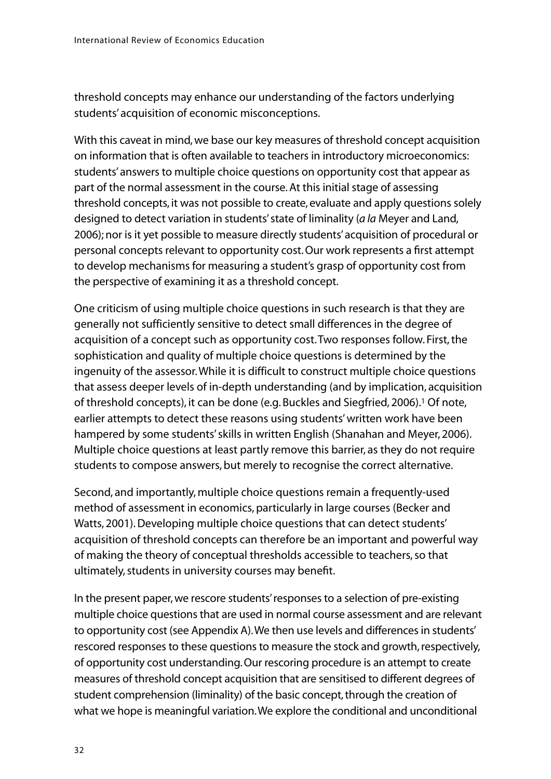threshold concepts may enhance our understanding of the factors underlying students' acquisition of economic misconceptions.

With this caveat in mind, we base our key measures of threshold concept acquisition on information that is often available to teachers in introductory microeconomics: students' answers to multiple choice questions on opportunity cost that appear as part of the normal assessment in the course. At this initial stage of assessing threshold concepts, it was not possible to create, evaluate and apply questions solely designed to detect variation in students' state of liminality (*a la* Meyer and Land, 2006); nor is it yet possible to measure directly students' acquisition of procedural or personal concepts relevant to opportunity cost. Our work represents a first attempt to develop mechanisms for measuring a student's grasp of opportunity cost from the perspective of examining it as a threshold concept.

One criticism of using multiple choice questions in such research is that they are generally not sufficiently sensitive to detect small differences in the degree of acquisition of a concept such as opportunity cost.Two responses follow. First, the sophistication and quality of multiple choice questions is determined by the ingenuity of the assessor.While it is difficult to construct multiple choice questions that assess deeper levels of in-depth understanding (and by implication, acquisition of threshold concepts), it can be done (e.g. Buckles and Siegfried, 2006).1 Of note, earlier attempts to detect these reasons using students' written work have been hampered by some students' skills in written English (Shanahan and Meyer, 2006). Multiple choice questions at least partly remove this barrier, as they do not require students to compose answers, but merely to recognise the correct alternative.

Second, and importantly, multiple choice questions remain a frequently-used method of assessment in economics, particularly in large courses (Becker and Watts, 2001). Developing multiple choice questions that can detect students' acquisition of threshold concepts can therefore be an important and powerful way of making the theory of conceptual thresholds accessible to teachers, so that ultimately, students in university courses may benefit.

In the present paper, we rescore students' responses to a selection of pre-existing multiple choice questions that are used in normal course assessment and are relevant to opportunity cost (see Appendix A).We then use levels and differences in students' rescored responses to these questions to measure the stock and growth, respectively, of opportunity cost understanding. Our rescoring procedure is an attempt to create measures of threshold concept acquisition that are sensitised to different degrees of student comprehension (liminality) of the basic concept, through the creation of what we hope is meaningful variation.We explore the conditional and unconditional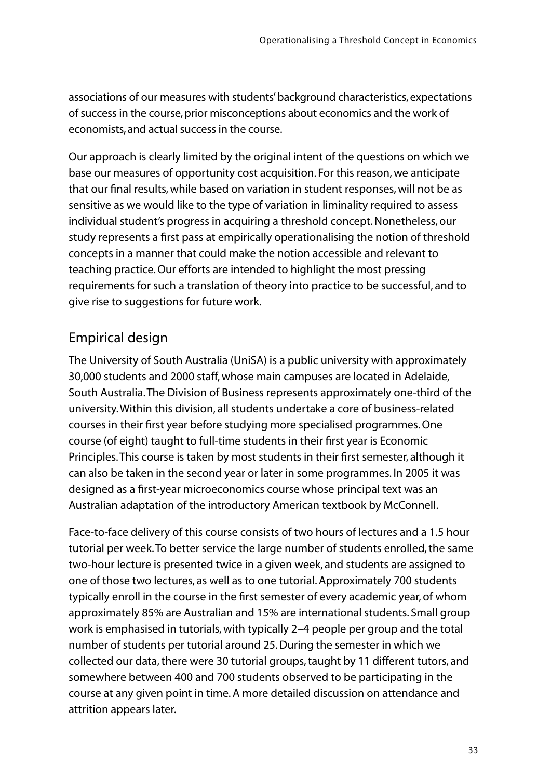associations of our measures with students'background characteristics, expectations of success in the course, prior misconceptions about economics and the work of economists, and actual success in the course.

Our approach is clearly limited by the original intent of the questions on which we base our measures of opportunity cost acquisition. For this reason, we anticipate that our final results, while based on variation in student responses, will not be as sensitive as we would like to the type of variation in liminality required to assess individual student's progress in acquiring a threshold concept. Nonetheless, our study represents a first pass at empirically operationalising the notion of threshold concepts in a manner that could make the notion accessible and relevant to teaching practice. Our efforts are intended to highlight the most pressing requirements for such a translation of theory into practice to be successful, and to give rise to suggestions for future work.

# Empirical design

The University of South Australia (UniSA) is a public university with approximately 30,000 students and 2000 staff, whose main campuses are located in Adelaide, South Australia.The Division of Business represents approximately one-third of the university.Within this division, all students undertake a core of business-related courses in their first year before studying more specialised programmes. One course (of eight) taught to full-time students in their first year is Economic Principles.This course is taken by most students in their first semester, although it can also be taken in the second year or later in some programmes. In 2005 it was designed as a first-year microeconomics course whose principal text was an Australian adaptation of the introductory American textbook by McConnell.

Face-to-face delivery of this course consists of two hours of lectures and a 1.5 hour tutorial per week.To better service the large number of students enrolled, the same two-hour lecture is presented twice in a given week, and students are assigned to one of those two lectures, as well as to one tutorial. Approximately 700 students typically enroll in the course in the first semester of every academic year, of whom approximately 85% are Australian and 15% are international students. Small group work is emphasised in tutorials, with typically 2–4 people per group and the total number of students per tutorial around 25. During the semester in which we collected our data, there were 30 tutorial groups, taught by 11 different tutors, and somewhere between 400 and 700 students observed to be participating in the course at any given point in time. A more detailed discussion on attendance and attrition appears later.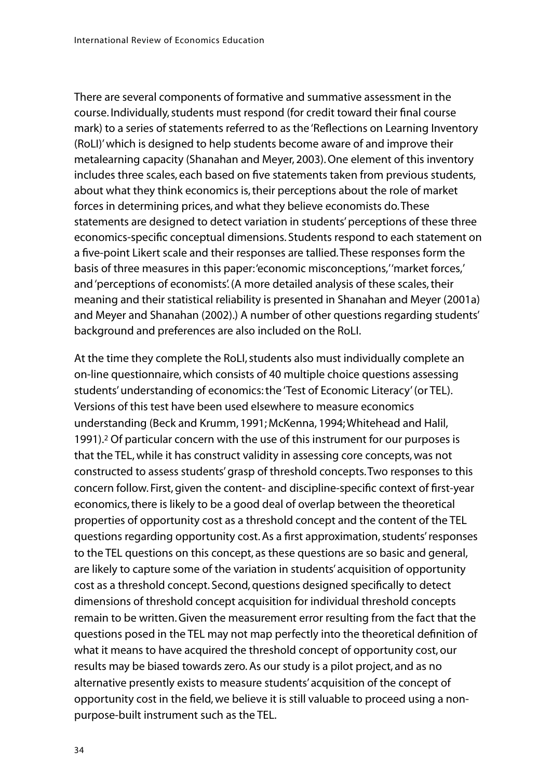There are several components of formative and summative assessment in the course. Individually, students must respond (for credit toward their final course mark) to a series of statements referred to as the 'Reflections on Learning Inventory (RoLI)' which is designed to help students become aware of and improve their metalearning capacity (Shanahan and Meyer, 2003). One element of this inventory includes three scales, each based on five statements taken from previous students, about what they think economics is, their perceptions about the role of market forces in determining prices, and what they believe economists do.These statements are designed to detect variation in students' perceptions of these three economics-specific conceptual dimensions. Students respond to each statement on a five-point Likert scale and their responses are tallied.These responses form the basis of three measures in this paper:'economic misconceptions,''market forces,' and 'perceptions of economists'. (A more detailed analysis of these scales, their meaning and their statistical reliability is presented in Shanahan and Meyer (2001a) and Meyer and Shanahan (2002).) A number of other questions regarding students' background and preferences are also included on the RoLI.

At the time they complete the RoLI, students also must individually complete an on-line questionnaire, which consists of 40 multiple choice questions assessing students'understanding of economics: the 'Test of Economic Literacy' (or TEL). Versions of this test have been used elsewhere to measure economics understanding (Beck and Krumm, 1991; McKenna, 1994; Whitehead and Halil, 1991).2 Of particular concern with the use of this instrument for our purposes is that the TEL, while it has construct validity in assessing core concepts, was not constructed to assess students' grasp of threshold concepts.Two responses to this concern follow. First, given the content- and discipline-specific context of first-year economics, there is likely to be a good deal of overlap between the theoretical properties of opportunity cost as a threshold concept and the content of the TEL questions regarding opportunity cost. As a first approximation, students' responses to the TEL questions on this concept, as these questions are so basic and general, are likely to capture some of the variation in students' acquisition of opportunity cost as a threshold concept. Second, questions designed specifically to detect dimensions of threshold concept acquisition for individual threshold concepts remain to be written. Given the measurement error resulting from the fact that the questions posed in the TEL may not map perfectly into the theoretical definition of what it means to have acquired the threshold concept of opportunity cost, our results may be biased towards zero. As our study is a pilot project, and as no alternative presently exists to measure students' acquisition of the concept of opportunity cost in the field, we believe it is still valuable to proceed using a nonpurpose-built instrument such as the TEL.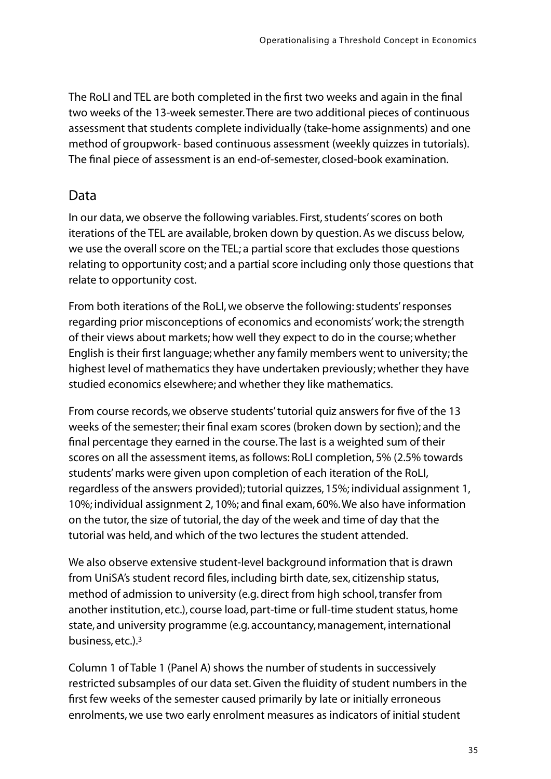The RoLI and TEL are both completed in the first two weeks and again in the final two weeks of the 13-week semester.There are two additional pieces of continuous assessment that students complete individually (take-home assignments) and one method of groupwork- based continuous assessment (weekly quizzes in tutorials). The final piece of assessment is an end-of-semester, closed-book examination.

## Data

In our data, we observe the following variables. First, students' scores on both iterations of the TEL are available, broken down by question. As we discuss below, we use the overall score on the TEL; a partial score that excludes those questions relating to opportunity cost; and a partial score including only those questions that relate to opportunity cost.

From both iterations of the RoLI, we observe the following: students' responses regarding prior misconceptions of economics and economists' work; the strength of their views about markets; how well they expect to do in the course; whether English is their first language; whether any family members went to university; the highest level of mathematics they have undertaken previously; whether they have studied economics elsewhere; and whether they like mathematics.

From course records, we observe students' tutorial quiz answers for five of the 13 weeks of the semester; their final exam scores (broken down by section); and the final percentage they earned in the course.The last is a weighted sum of their scores on all the assessment items, as follows: RoLI completion, 5% (2.5% towards students' marks were given upon completion of each iteration of the RoLI, regardless of the answers provided); tutorial quizzes, 15%; individual assignment 1, 10%; individual assignment 2, 10%; and final exam, 60%.We also have information on the tutor, the size of tutorial, the day of the week and time of day that the tutorial was held, and which of the two lectures the student attended.

We also observe extensive student-level background information that is drawn from UniSA's student record files, including birth date, sex, citizenship status, method of admission to university (e.g. direct from high school, transfer from another institution, etc.), course load, part-time or full-time student status, home state, and university programme (e.g. accountancy, management, international business, etc.).3

Column 1 of Table 1 (Panel A) shows the number of students in successively restricted subsamples of our data set. Given the fluidity of student numbers in the first few weeks of the semester caused primarily by late or initially erroneous enrolments, we use two early enrolment measures as indicators of initial student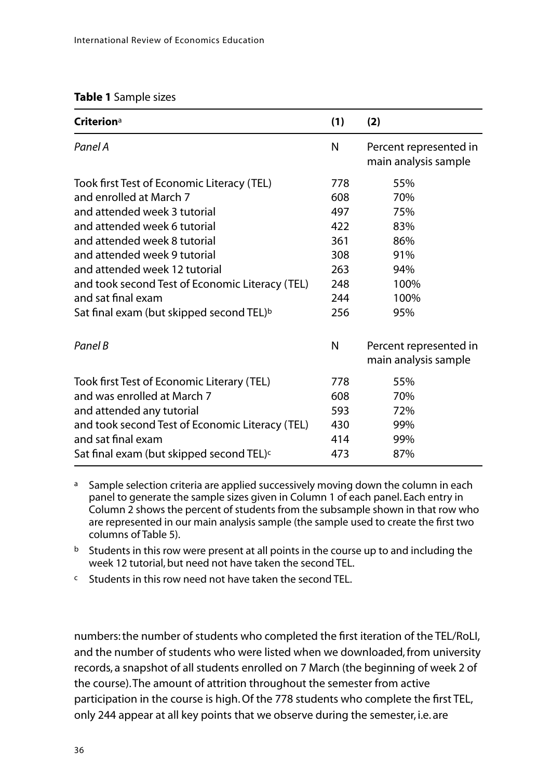| Criteriona                                           | (1) | (2)                                            |
|------------------------------------------------------|-----|------------------------------------------------|
| Panel A                                              | N   | Percent represented in<br>main analysis sample |
| Took first Test of Economic Literacy (TEL)           | 778 | 55%                                            |
| and enrolled at March 7                              | 608 | 70%                                            |
| and attended week 3 tutorial                         | 497 | 75%                                            |
| and attended week 6 tutorial                         | 422 | 83%                                            |
| and attended week 8 tutorial                         | 361 | 86%                                            |
| and attended week 9 tutorial                         | 308 | 91%                                            |
| and attended week 12 tutorial                        | 263 | 94%                                            |
| and took second Test of Economic Literacy (TEL)      | 248 | 100%                                           |
| and sat final exam                                   | 244 | 100%                                           |
| Sat final exam (but skipped second TEL) <sup>b</sup> | 256 | 95%                                            |
| Panel B                                              | N   | Percent represented in<br>main analysis sample |
| Took first Test of Economic Literary (TEL)           | 778 | 55%                                            |
| and was enrolled at March 7                          | 608 | 70%                                            |
| and attended any tutorial                            | 593 | 72%                                            |
| and took second Test of Economic Literacy (TEL)      | 430 | 99%                                            |
| and sat final exam                                   | 414 | 99%                                            |
| Sat final exam (but skipped second TEL) <sup>c</sup> | 473 | 87%                                            |

#### **Table 1** Sample sizes

<sup>a</sup> Sample selection criteria are applied successively moving down the column in each panel to generate the sample sizes given in Column 1 of each panel. Each entry in Column 2 shows the percent of students from the subsample shown in that row who are represented in our main analysis sample (the sample used to create the first two columns of Table 5).

 $<sup>b</sup>$  Students in this row were present at all points in the course up to and including the</sup> week 12 tutorial, but need not have taken the second TEL.

c Students in this row need not have taken the second TEL.

numbers: the number of students who completed the first iteration of the TEL/RoLI, and the number of students who were listed when we downloaded, from university records, a snapshot of all students enrolled on 7 March (the beginning of week 2 of the course).The amount of attrition throughout the semester from active participation in the course is high. Of the 778 students who complete the first TEL, only 244 appear at all key points that we observe during the semester, i.e. are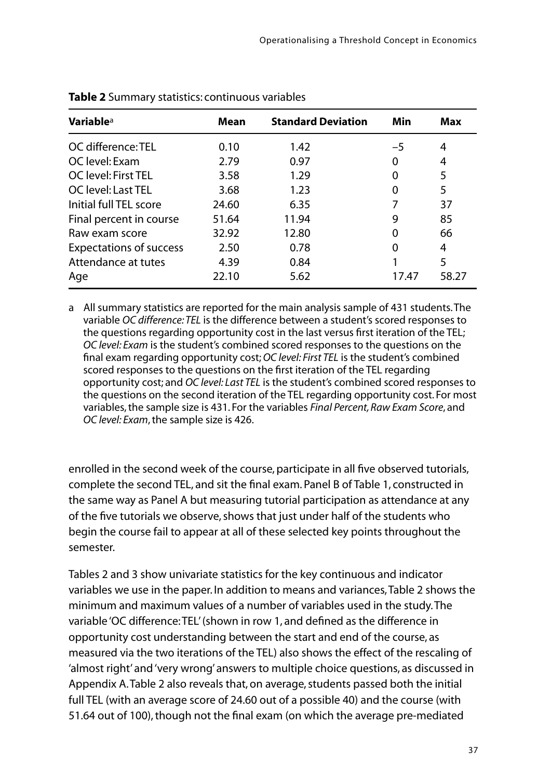| <b>Variable</b> <sup>a</sup>   | Mean  | <b>Standard Deviation</b> | Min   | Max   |
|--------------------------------|-------|---------------------------|-------|-------|
| OC difference: TEL             | 0.10  | 1.42                      | $-5$  | 4     |
| OC level: Exam                 | 2.79  | 0.97                      | 0     | 4     |
| OC level: First TEL            | 3.58  | 1.29                      | 0     | 5     |
| OC level: Last TEL             | 3.68  | 1.23                      | 0     | 5     |
| Initial full TEL score         | 24.60 | 6.35                      |       | 37    |
| Final percent in course        | 51.64 | 11.94                     | 9     | 85    |
| Raw exam score                 | 32.92 | 12.80                     | O     | 66    |
| <b>Expectations of success</b> | 2.50  | 0.78                      | 0     | 4     |
| Attendance at tutes            | 4.39  | 0.84                      |       | 5     |
| Age                            | 22.10 | 5.62                      | 17.47 | 58.27 |

**Table 2** Summary statistics: continuous variables

a All summary statistics are reported for the main analysis sample of 431 students.The variable *OC difference: TEL* is the difference between a student's scored responses to the questions regarding opportunity cost in the last versus first iteration of the TEL; *OC level: Exam* is the student's combined scored responses to the questions on the final exam regarding opportunity cost;*OC level: First TEL* is the student's combined scored responses to the questions on the first iteration of the TEL regarding opportunity cost; and *OC level: Last TEL* is the student's combined scored responses to the questions on the second iteration of the TEL regarding opportunity cost. For most variables, the sample size is 431. For the variables *Final Percent, Raw Exam Score*, and *OC level: Exam*, the sample size is 426.

enrolled in the second week of the course, participate in all five observed tutorials, complete the second TEL, and sit the final exam. Panel B of Table 1, constructed in the same way as Panel A but measuring tutorial participation as attendance at any of the five tutorials we observe, shows that just under half of the students who begin the course fail to appear at all of these selected key points throughout the semester.

Tables 2 and 3 show univariate statistics for the key continuous and indicator variables we use in the paper. In addition to means and variances,Table 2 shows the minimum and maximum values of a number of variables used in the study.The variable 'OC difference:TEL' (shown in row 1, and defined as the difference in opportunity cost understanding between the start and end of the course, as measured via the two iterations of the TEL) also shows the effect of the rescaling of 'almost right' and 'very wrong' answers to multiple choice questions, as discussed in Appendix A.Table 2 also reveals that, on average, students passed both the initial full TEL (with an average score of 24.60 out of a possible 40) and the course (with 51.64 out of 100), though not the final exam (on which the average pre-mediated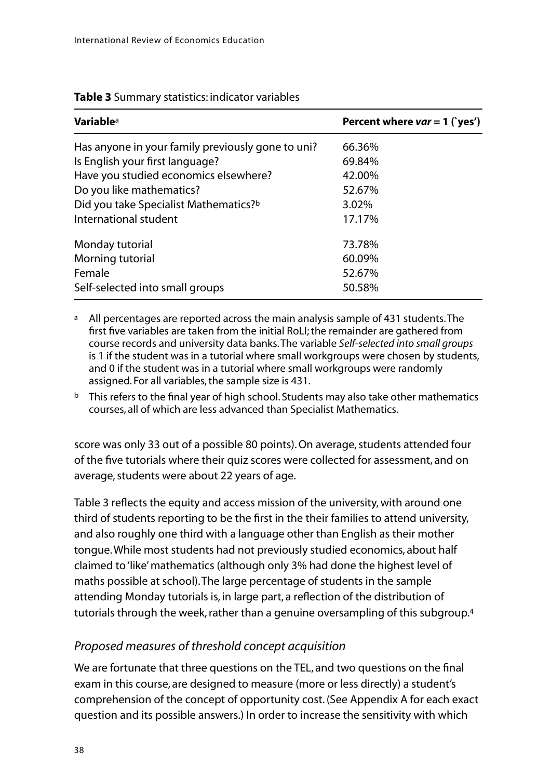| Variable <sup>a</sup>                             | Percent where $var = 1$ (`yes') |
|---------------------------------------------------|---------------------------------|
| Has anyone in your family previously gone to uni? | 66.36%                          |
| Is English your first language?                   | 69.84%                          |
| Have you studied economics elsewhere?             | 42.00%                          |
| Do you like mathematics?                          | 52.67%                          |
| Did you take Specialist Mathematics?b             | 3.02%                           |
| International student                             | 17.17%                          |
| Monday tutorial                                   | 73.78%                          |
| Morning tutorial                                  | 60.09%                          |
| Female                                            | 52.67%                          |
| Self-selected into small groups                   | 50.58%                          |

#### **Table 3** Summary statistics: indicator variables

a All percentages are reported across the main analysis sample of 431 students. The first five variables are taken from the initial RoLI; the remainder are gathered from course records and university data banks.The variable *Self-selected into small groups* is 1 if the student was in a tutorial where small workgroups were chosen by students, and 0 if the student was in a tutorial where small workgroups were randomly assigned. For all variables, the sample size is 431.

b This refers to the final year of high school. Students may also take other mathematics courses, all of which are less advanced than Specialist Mathematics.

score was only 33 out of a possible 80 points). On average, students attended four of the five tutorials where their quiz scores were collected for assessment, and on average, students were about 22 years of age.

Table 3 reflects the equity and access mission of the university, with around one third of students reporting to be the first in the their families to attend university, and also roughly one third with a language other than English as their mother tongue.While most students had not previously studied economics, about half claimed to 'like' mathematics (although only 3% had done the highest level of maths possible at school).The large percentage of students in the sample attending Monday tutorials is, in large part, a reflection of the distribution of tutorials through the week, rather than a genuine oversampling of this subgroup.4

## *Proposed measures of threshold concept acquisition*

We are fortunate that three questions on the TEL, and two questions on the final exam in this course, are designed to measure (more or less directly) a student's comprehension of the concept of opportunity cost. (See Appendix A for each exact question and its possible answers.) In order to increase the sensitivity with which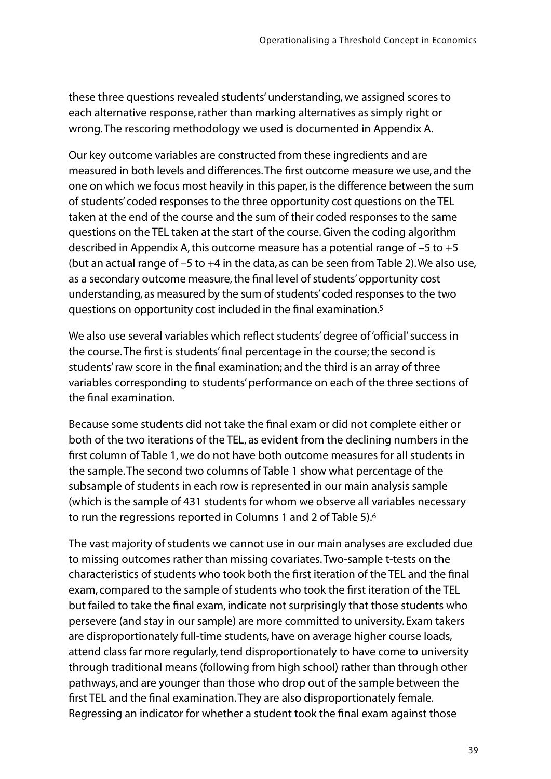these three questions revealed students' understanding, we assigned scores to each alternative response, rather than marking alternatives as simply right or wrong.The rescoring methodology we used is documented in Appendix A.

Our key outcome variables are constructed from these ingredients and are measured in both levels and differences.The first outcome measure we use, and the one on which we focus most heavily in this paper, is the difference between the sum of students' coded responses to the three opportunity cost questions on the TEL taken at the end of the course and the sum of their coded responses to the same questions on the TEL taken at the start of the course. Given the coding algorithm described in Appendix A, this outcome measure has a potential range of –5 to +5 (but an actual range of –5 to +4 in the data, as can be seen from Table 2).We also use, as a secondary outcome measure, the final level of students' opportunity cost understanding, as measured by the sum of students' coded responses to the two questions on opportunity cost included in the final examination.5

We also use several variables which reflect students' degree of 'official' success in the course.The first is students' final percentage in the course; the second is students' raw score in the final examination; and the third is an array of three variables corresponding to students' performance on each of the three sections of the final examination.

Because some students did not take the final exam or did not complete either or both of the two iterations of the TEL, as evident from the declining numbers in the first column of Table 1, we do not have both outcome measures for all students in the sample.The second two columns of Table 1 show what percentage of the subsample of students in each row is represented in our main analysis sample (which is the sample of 431 students for whom we observe all variables necessary to run the regressions reported in Columns 1 and 2 of Table 5).6

The vast majority of students we cannot use in our main analyses are excluded due to missing outcomes rather than missing covariates.Two-sample t-tests on the characteristics of students who took both the first iteration of the TEL and the final exam, compared to the sample of students who took the first iteration of the TEL but failed to take the final exam, indicate not surprisingly that those students who persevere (and stay in our sample) are more committed to university. Exam takers are disproportionately full-time students, have on average higher course loads, attend class far more regularly, tend disproportionately to have come to university through traditional means (following from high school) rather than through other pathways, and are younger than those who drop out of the sample between the first TEL and the final examination.They are also disproportionately female. Regressing an indicator for whether a student took the final exam against those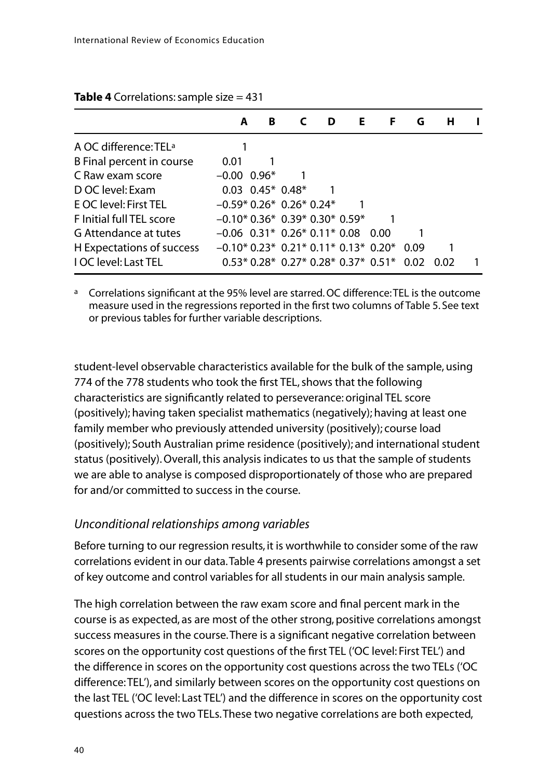|                                   | A                                   | в                                |  | D E | F | G           |      |  |
|-----------------------------------|-------------------------------------|----------------------------------|--|-----|---|-------------|------|--|
| A OC difference: TEL <sup>a</sup> |                                     |                                  |  |     |   |             |      |  |
| B Final percent in course         | 0.01                                |                                  |  |     |   |             |      |  |
| C Raw exam score                  | $-0.00$ 0.96*                       |                                  |  |     |   |             |      |  |
| D OC level: Exam                  |                                     | $0.03$ $0.45*$ $0.48*$           |  |     |   |             |      |  |
| E OC level: First TEL             | $-0.59*0.26*0.26*0.24*$             |                                  |  |     |   |             |      |  |
| F Initial full TEL score          | $-0.10*0.36*0.39*0.30*0.59*$        |                                  |  |     |   |             |      |  |
| G Attendance at tutes             | $-0.06$ 0.31* 0.26* 0.11* 0.08 0.00 |                                  |  |     |   |             |      |  |
| H Expectations of success         | $-0.10*0.23*0.21*0.11*0.13*0.20*$   |                                  |  |     |   | <u>በ በዓ</u> |      |  |
| <b>I OC level: Last TEL</b>       |                                     | $0.53*0.28*0.27*0.28*0.37*0.51*$ |  |     |   | 0.02        | በ በን |  |

#### **Table 4** Correlations: sample size = 431

a Correlations significant at the 95% level are starred. OC difference: TEL is the outcome measure used in the regressions reported in the first two columns of Table 5. See text or previous tables for further variable descriptions.

student-level observable characteristics available for the bulk of the sample, using 774 of the 778 students who took the first TEL, shows that the following characteristics are significantly related to perseverance: original TEL score (positively); having taken specialist mathematics (negatively); having at least one family member who previously attended university (positively); course load (positively); South Australian prime residence (positively); and international student status (positively). Overall, this analysis indicates to us that the sample of students we are able to analyse is composed disproportionately of those who are prepared for and/or committed to success in the course.

#### *Unconditional relationships among variables*

Before turning to our regression results, it is worthwhile to consider some of the raw correlations evident in our data.Table 4 presents pairwise correlations amongst a set of key outcome and control variables for all students in our main analysis sample.

The high correlation between the raw exam score and final percent mark in the course is as expected, as are most of the other strong, positive correlations amongst success measures in the course.There is a significant negative correlation between scores on the opportunity cost questions of the first TEL ('OC level: First TEL') and the difference in scores on the opportunity cost questions across the two TELs ('OC difference:TEL'), and similarly between scores on the opportunity cost questions on the last TEL ('OC level: Last TEL') and the difference in scores on the opportunity cost questions across the two TELs.These two negative correlations are both expected,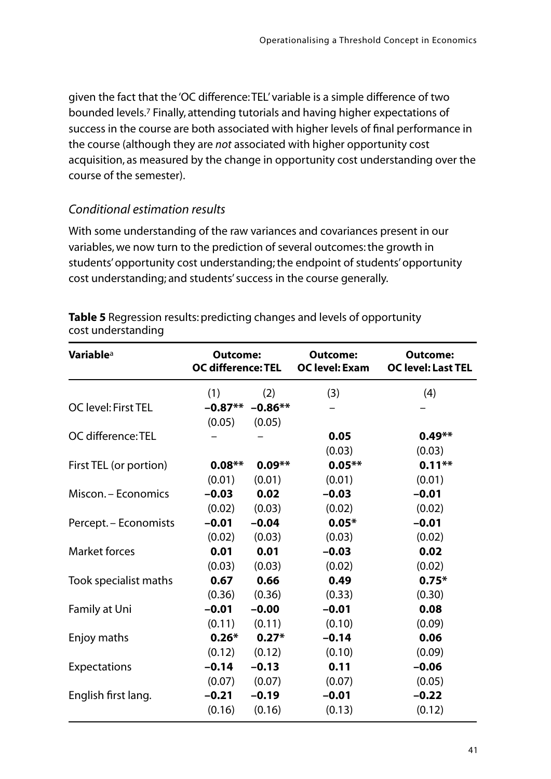given the fact that the 'OC difference:TEL' variable is a simple difference of two bounded levels.7 Finally, attending tutorials and having higher expectations of success in the course are both associated with higher levels of final performance in the course (although they are *not* associated with higher opportunity cost acquisition, as measured by the change in opportunity cost understanding over the course of the semester).

## *Conditional estimation results*

With some understanding of the raw variances and covariances present in our variables, we now turn to the prediction of several outcomes: the growth in students' opportunity cost understanding; the endpoint of students' opportunity cost understanding; and students' success in the course generally.

| <b>Variable</b> <sup>a</sup> |                     | <b>Outcome:</b><br><b>Outcome:</b><br><b>OC difference: TEL</b><br><b>OC level: Exam</b> |                     | <b>Outcome:</b><br><b>OC level: Last TEL</b> |
|------------------------------|---------------------|------------------------------------------------------------------------------------------|---------------------|----------------------------------------------|
|                              | (1)                 | (2)                                                                                      | (3)                 | (4)                                          |
| OC level: First TEL          | $-0.87**$<br>(0.05) | $-0.86**$<br>(0.05)                                                                      |                     |                                              |
| OC difference: TEL           |                     |                                                                                          | 0.05                | $0.49**$                                     |
| First TEL (or portion)       | $0.08**$            | $0.09**$                                                                                 | (0.03)<br>$0.05***$ | (0.03)<br>$0.11***$                          |
|                              | (0.01)              | (0.01)                                                                                   | (0.01)              | (0.01)                                       |
| Miscon. – Economics          | $-0.03$<br>(0.02)   | 0.02<br>(0.03)                                                                           | $-0.03$<br>(0.02)   | $-0.01$<br>(0.02)                            |
| Percept. – Economists        | $-0.01$<br>(0.02)   | $-0.04$<br>(0.03)                                                                        | $0.05*$<br>(0.03)   | $-0.01$<br>(0.02)                            |
| Market forces                | 0.01                | 0.01                                                                                     | $-0.03$             | 0.02                                         |
| Took specialist maths        | (0.03)<br>0.67      | (0.03)<br>0.66                                                                           | (0.02)<br>0.49      | (0.02)<br>$0.75*$                            |
| Family at Uni                | (0.36)<br>$-0.01$   | (0.36)<br>$-0.00$                                                                        | (0.33)<br>$-0.01$   | (0.30)<br>0.08                               |
| Enjoy maths                  | (0.11)<br>$0.26*$   | (0.11)<br>$0.27*$                                                                        | (0.10)<br>$-0.14$   | (0.09)<br>0.06                               |
|                              | (0.12)              | (0.12)                                                                                   | (0.10)              | (0.09)                                       |
| Expectations                 | $-0.14$<br>(0.07)   | $-0.13$<br>(0.07)                                                                        | 0.11<br>(0.07)      | $-0.06$<br>(0.05)                            |
| English first lang.          | $-0.21$<br>(0.16)   | $-0.19$<br>(0.16)                                                                        | $-0.01$<br>(0.13)   | $-0.22$<br>(0.12)                            |

**Table 5** Regression results: predicting changes and levels of opportunity cost understanding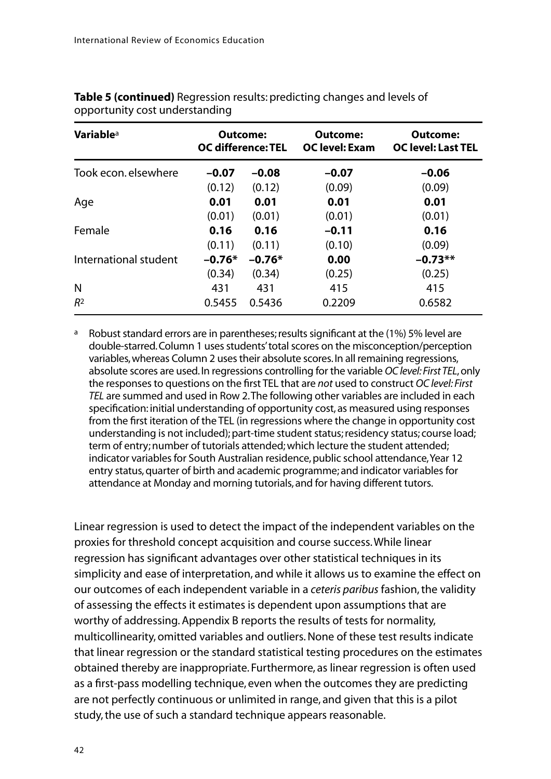| Variable <sup>a</sup> | Outcome: | <b>OC difference: TEL</b> | Outcome:<br><b>OC</b> level: Exam | Outcome:<br><b>OC level: Last TEL</b> |  |
|-----------------------|----------|---------------------------|-----------------------------------|---------------------------------------|--|
| Took econ, elsewhere  | $-0.07$  | -0.08                     | $-0.07$                           | $-0.06$                               |  |
|                       | (0.12)   | (0.12)                    | (0.09)                            | (0.09)                                |  |
| Age                   | 0.01     | 0.01                      | 0.01                              | 0.01                                  |  |
|                       | (0.01)   | (0.01)                    | (0.01)                            | (0.01)                                |  |
| Female                | 0.16     | 0.16                      | $-0.11$                           | 0.16                                  |  |
|                       | (0.11)   | (0.11)                    | (0.10)                            | (0.09)                                |  |
| International student | $-0.76*$ | $-0.76*$                  | 0.00                              | $-0.73**$                             |  |
|                       | (0.34)   | (0.34)                    | (0.25)                            | (0.25)                                |  |
| N                     | 431      | 431                       | 415                               | 415                                   |  |
| R <sup>2</sup>        | 0.5455   | 0.5436                    | 0.2209                            | 0.6582                                |  |

**Table 5 (continued)** Regression results: predicting changes and levels of opportunity cost understanding

a Robust standard errors are in parentheses; results significant at the (1%) 5% level are double-starred. Column 1 uses students'total scores on the misconception/perception variables, whereas Column 2 uses their absolute scores. In all remaining regressions, absolute scores are used.In regressions controlling for the variable *OC level: First TEL*,only the responses to questions on the first TEL that are *not* used to construct *OC level: First TEL* are summed and used in Row 2.The following other variables are included in each specification: initial understanding of opportunity cost, as measured using responses from the first iteration of the TEL (in regressions where the change in opportunity cost understanding is not included); part-time student status; residency status; course load; term of entry; number of tutorials attended; which lecture the student attended; indicator variables for South Australian residence, public school attendance,Year 12 entry status, quarter of birth and academic programme; and indicator variables for attendance at Monday and morning tutorials, and for having different tutors.

Linear regression is used to detect the impact of the independent variables on the proxies for threshold concept acquisition and course success.While linear regression has significant advantages over other statistical techniques in its simplicity and ease of interpretation, and while it allows us to examine the effect on our outcomes of each independent variable in a *ceteris paribus* fashion, the validity of assessing the effects it estimates is dependent upon assumptions that are worthy of addressing. Appendix B reports the results of tests for normality, multicollinearity, omitted variables and outliers. None of these test results indicate that linear regression or the standard statistical testing procedures on the estimates obtained thereby are inappropriate. Furthermore, as linear regression is often used as a first-pass modelling technique, even when the outcomes they are predicting are not perfectly continuous or unlimited in range, and given that this is a pilot study, the use of such a standard technique appears reasonable.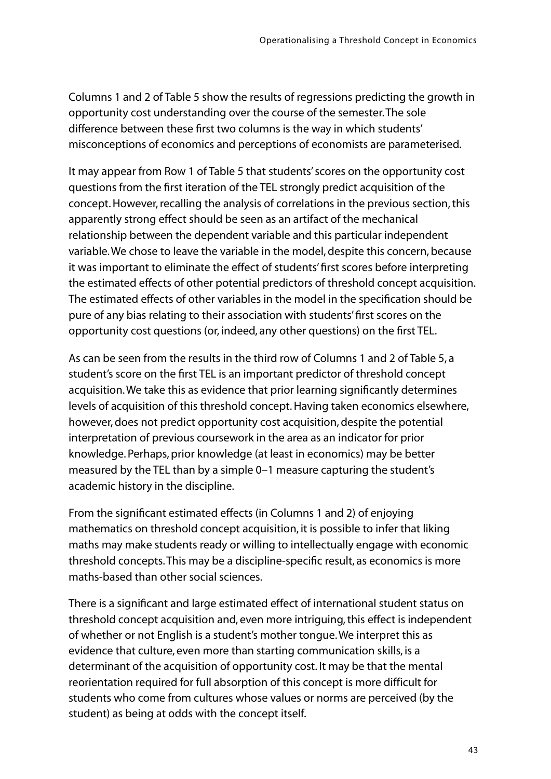Columns 1 and 2 of Table 5 show the results of regressions predicting the growth in opportunity cost understanding over the course of the semester.The sole difference between these first two columns is the way in which students' misconceptions of economics and perceptions of economists are parameterised.

It may appear from Row 1 of Table 5 that students' scores on the opportunity cost questions from the first iteration of the TEL strongly predict acquisition of the concept. However, recalling the analysis of correlations in the previous section, this apparently strong effect should be seen as an artifact of the mechanical relationship between the dependent variable and this particular independent variable.We chose to leave the variable in the model, despite this concern, because it was important to eliminate the effect of students' first scores before interpreting the estimated effects of other potential predictors of threshold concept acquisition. The estimated effects of other variables in the model in the specification should be pure of any bias relating to their association with students' first scores on the opportunity cost questions (or, indeed, any other questions) on the first TEL.

As can be seen from the results in the third row of Columns 1 and 2 of Table 5, a student's score on the first TEL is an important predictor of threshold concept acquisition.We take this as evidence that prior learning significantly determines levels of acquisition of this threshold concept. Having taken economics elsewhere, however, does not predict opportunity cost acquisition, despite the potential interpretation of previous coursework in the area as an indicator for prior knowledge. Perhaps, prior knowledge (at least in economics) may be better measured by the TEL than by a simple 0–1 measure capturing the student's academic history in the discipline.

From the significant estimated effects (in Columns 1 and 2) of enjoying mathematics on threshold concept acquisition, it is possible to infer that liking maths may make students ready or willing to intellectually engage with economic threshold concepts.This may be a discipline-specific result, as economics is more maths-based than other social sciences.

There is a significant and large estimated effect of international student status on threshold concept acquisition and, even more intriguing, this effect is independent of whether or not English is a student's mother tongue.We interpret this as evidence that culture, even more than starting communication skills, is a determinant of the acquisition of opportunity cost. It may be that the mental reorientation required for full absorption of this concept is more difficult for students who come from cultures whose values or norms are perceived (by the student) as being at odds with the concept itself.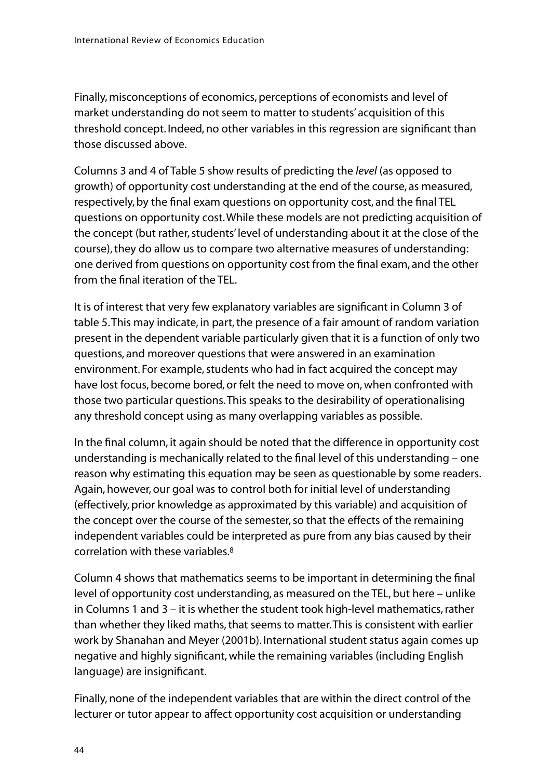Finally, misconceptions of economics, perceptions of economists and level of market understanding do not seem to matter to students' acquisition of this threshold concept. Indeed, no other variables in this regression are significant than those discussed above.

Columns 3 and 4 of Table 5 show results of predicting the *level* (as opposed to growth) of opportunity cost understanding at the end of the course, as measured, respectively, by the final exam questions on opportunity cost, and the final TEL questions on opportunity cost.While these models are not predicting acquisition of the concept (but rather, students' level of understanding about it at the close of the course), they do allow us to compare two alternative measures of understanding: one derived from questions on opportunity cost from the final exam, and the other from the final iteration of the TEL.

It is of interest that very few explanatory variables are significant in Column 3 of table 5.This may indicate, in part, the presence of a fair amount of random variation present in the dependent variable particularly given that it is a function of only two questions, and moreover questions that were answered in an examination environment. For example, students who had in fact acquired the concept may have lost focus, become bored, or felt the need to move on, when confronted with those two particular questions.This speaks to the desirability of operationalising any threshold concept using as many overlapping variables as possible.

In the final column, it again should be noted that the difference in opportunity cost understanding is mechanically related to the final level of this understanding – one reason why estimating this equation may be seen as questionable by some readers. Again, however, our goal was to control both for initial level of understanding (effectively, prior knowledge as approximated by this variable) and acquisition of the concept over the course of the semester, so that the effects of the remaining independent variables could be interpreted as pure from any bias caused by their correlation with these variables.8

Column 4 shows that mathematics seems to be important in determining the final level of opportunity cost understanding, as measured on the TEL, but here – unlike in Columns 1 and 3 – it is whether the student took high-level mathematics, rather than whether they liked maths, that seems to matter.This is consistent with earlier work by Shanahan and Meyer (2001b). International student status again comes up negative and highly significant, while the remaining variables (including English language) are insignificant.

Finally, none of the independent variables that are within the direct control of the lecturer or tutor appear to affect opportunity cost acquisition or understanding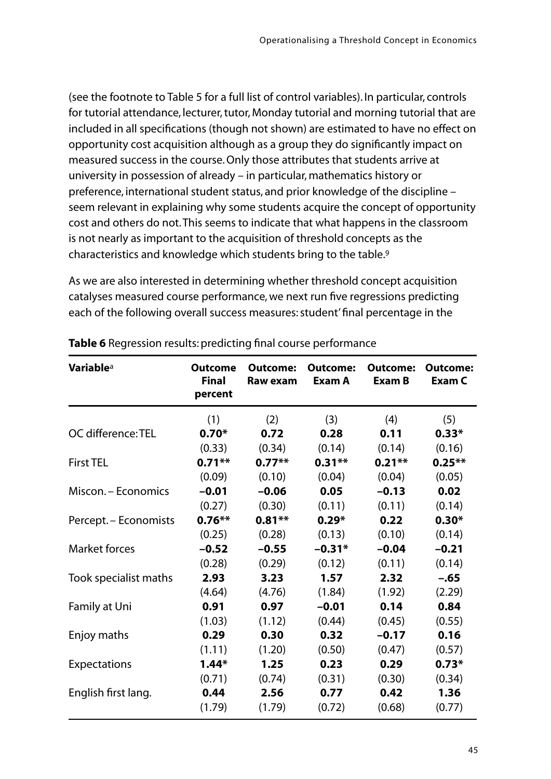(see the footnote to Table 5 for a full list of control variables). In particular, controls for tutorial attendance, lecturer, tutor, Monday tutorial and morning tutorial that are included in all specifications (though not shown) are estimated to have no effect on opportunity cost acquisition although as a group they do significantly impact on measured success in the course. Only those attributes that students arrive at university in possession of already – in particular, mathematics history or preference, international student status, and prior knowledge of the discipline – seem relevant in explaining why some students acquire the concept of opportunity cost and others do not.This seems to indicate that what happens in the classroom is not nearly as important to the acquisition of threshold concepts as the characteristics and knowledge which students bring to the table.9

As we are also interested in determining whether threshold concept acquisition catalyses measured course performance, we next run five regressions predicting each of the following overall success measures: student' final percentage in the

| Variable <sup>a</sup> | <b>Outcome</b><br><b>Final</b><br>percent | Outcome:<br>Raw exam | <b>Outcome:</b><br>Exam A | <b>Outcome:</b><br>Exam B | Outcome:<br>Exam C |
|-----------------------|-------------------------------------------|----------------------|---------------------------|---------------------------|--------------------|
|                       | (1)                                       | (2)                  | (3)                       | (4)                       | (5)                |
| OC difference: TEL    | $0.70*$                                   | 0.72                 | 0.28                      | 0.11                      | $0.33*$            |
|                       | (0.33)                                    | (0.34)               | (0.14)                    | (0.14)                    | (0.16)             |
| <b>First TEL</b>      | $0.71**$                                  | $0.77**$             | $0.31**$                  | $0.21**$                  | $0.25***$          |
|                       | (0.09)                                    | (0.10)               | (0.04)                    | (0.04)                    | (0.05)             |
| Miscon. – Economics   | $-0.01$                                   | $-0.06$              | 0.05                      | $-0.13$                   | 0.02               |
|                       | (0.27)                                    | (0.30)               | (0.11)                    | (0.11)                    | (0.14)             |
| Percept. - Economists | $0.76**$                                  | $0.81**$             | $0.29*$                   | 0.22                      | $0.30*$            |
|                       | (0.25)                                    | (0.28)               | (0.13)                    | (0.10)                    | (0.14)             |
| Market forces         | $-0.52$                                   | $-0.55$              | $-0.31*$                  | $-0.04$                   | $-0.21$            |
|                       | (0.28)                                    | (0.29)               | (0.12)                    | (0.11)                    | (0.14)             |
| Took specialist maths | 2.93                                      | 3.23                 | 1.57                      | 2.32                      | $-.65$             |
|                       | (4.64)                                    | (4.76)               | (1.84)                    | (1.92)                    | (2.29)             |
| Family at Uni         | 0.91                                      | 0.97                 | $-0.01$                   | 0.14                      | 0.84               |
|                       | (1.03)                                    | (1.12)               | (0.44)                    | (0.45)                    | (0.55)             |
| Enjoy maths           | 0.29                                      | 0.30                 | 0.32                      | $-0.17$                   | 0.16               |
|                       | (1.11)                                    | (1.20)               | (0.50)                    | (0.47)                    | (0.57)             |
| Expectations          | $1.44*$                                   | 1.25                 | 0.23                      | 0.29                      | $0.73*$            |
|                       | (0.71)                                    | (0.74)               | (0.31)                    | (0.30)                    | (0.34)             |
| English first lang.   | 0.44<br>(1.79)                            | 2.56<br>(1.79)       | 0.77<br>(0.72)            | 0.42<br>(0.68)            | 1.36<br>(0.77)     |

**Table 6** Regression results: predicting final course performance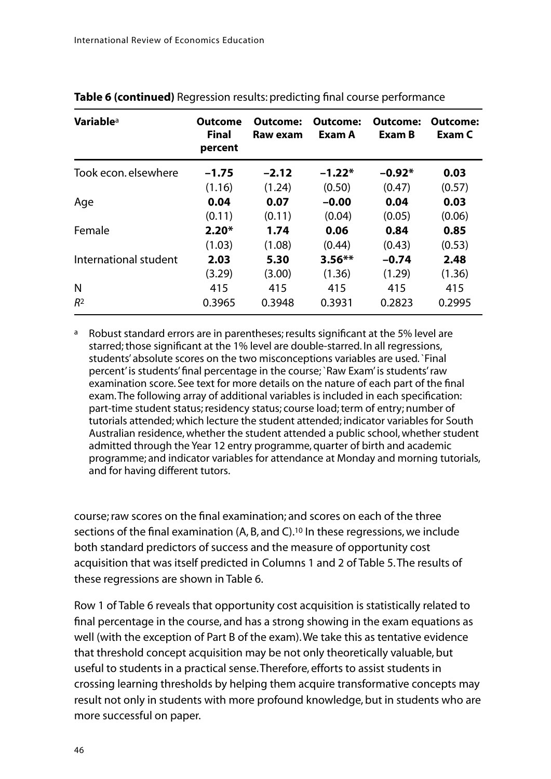| <b>Variable</b> <sup>a</sup> | Outcome<br><b>Final</b><br>percent | Outcome:<br>Raw exam | Outcome:<br>Exam A | Outcome:<br>Exam B | Outcome:<br>Exam C |
|------------------------------|------------------------------------|----------------------|--------------------|--------------------|--------------------|
| Took econ, elsewhere         | $-1.75$                            | $-2.12$              | $-1.22*$           | $-0.92*$           | 0.03               |
|                              | (1.16)                             | (1.24)               | (0.50)             | (0.47)             | (0.57)             |
| Age                          | 0.04                               | 0.07                 | $-0.00$            | 0.04               | 0.03               |
|                              | (0.11)                             | (0.11)               | (0.04)             | (0.05)             | (0.06)             |
| Female                       | $2.20*$                            | 1.74                 | 0.06               | 0.84               | 0.85               |
|                              | (1.03)                             | (1.08)               | (0.44)             | (0.43)             | (0.53)             |
| International student        | 2.03                               | 5.30                 | $3.56**$           | $-0.74$            | 2.48               |
|                              | (3.29)                             | (3.00)               | (1.36)             | (1.29)             | (1.36)             |
| N                            | 415                                | 415                  | 415                | 415                | 415                |
| R <sup>2</sup>               | 0.3965                             | 0.3948               | 0.3931             | 0.2823             | 0.2995             |

**Table 6 (continued)** Regression results: predicting final course performance

a Robust standard errors are in parentheses; results significant at the 5% level are starred; those significant at the 1% level are double-starred. In all regressions, students' absolute scores on the two misconceptions variables are used. `Final percent' is students'final percentage in the course; `Raw Exam' is students' raw examination score. See text for more details on the nature of each part of the final exam.The following array of additional variables is included in each specification: part-time student status; residency status; course load; term of entry; number of tutorials attended; which lecture the student attended; indicator variables for South Australian residence, whether the student attended a public school, whether student admitted through the Year 12 entry programme, quarter of birth and academic programme; and indicator variables for attendance at Monday and morning tutorials, and for having different tutors.

course;raw scores on the final examination; and scores on each of the three sections of the final examination (A, B, and C).10 In these regressions, we include both standard predictors of success and the measure of opportunity cost acquisition that was itself predicted in Columns 1 and 2 of Table 5.The results of these regressions are shown in Table 6.

Row 1 of Table 6 reveals that opportunity cost acquisition is statistically related to final percentage in the course, and has a strong showing in the exam equations as well (with the exception of Part B of the exam).We take this as tentative evidence that threshold concept acquisition may be not only theoretically valuable, but useful to students in a practical sense.Therefore, efforts to assist students in crossing learning thresholds by helping them acquire transformative concepts may result not only in students with more profound knowledge, but in students who are more successful on paper.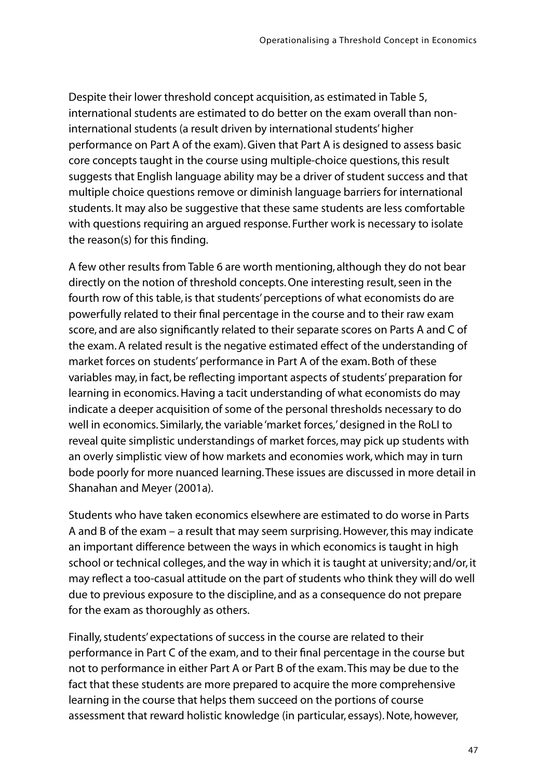Despite their lower threshold concept acquisition, as estimated in Table 5, international students are estimated to do better on the exam overall than noninternational students (a result driven by international students' higher performance on Part A of the exam). Given that Part A is designed to assess basic core concepts taught in the course using multiple-choice questions, this result suggests that English language ability may be a driver of student success and that multiple choice questions remove or diminish language barriers for international students. It may also be suggestive that these same students are less comfortable with questions requiring an argued response. Further work is necessary to isolate the reason(s) for this finding.

A few other results from Table 6 are worth mentioning, although they do not bear directly on the notion of threshold concepts. One interesting result, seen in the fourth row of this table, is that students' perceptions of what economists do are powerfully related to their final percentage in the course and to their raw exam score, and are also significantly related to their separate scores on Parts A and C of the exam. A related result is the negative estimated effect of the understanding of market forces on students' performance in Part A of the exam. Both of these variables may, in fact, be reflecting important aspects of students' preparation for learning in economics. Having a tacit understanding of what economists do may indicate a deeper acquisition of some of the personal thresholds necessary to do well in economics. Similarly, the variable 'market forces,' designed in the RoLI to reveal quite simplistic understandings of market forces, may pick up students with an overly simplistic view of how markets and economies work, which may in turn bode poorly for more nuanced learning.These issues are discussed in more detail in Shanahan and Meyer (2001a).

Students who have taken economics elsewhere are estimated to do worse in Parts A and B of the exam – a result that may seem surprising. However, this may indicate an important difference between the ways in which economics is taught in high school or technical colleges, and the way in which it is taught at university; and/or, it may reflect a too-casual attitude on the part of students who think they will do well due to previous exposure to the discipline, and as a consequence do not prepare for the exam as thoroughly as others.

Finally, students' expectations of success in the course are related to their performance in Part C of the exam, and to their final percentage in the course but not to performance in either Part A or Part B of the exam.This may be due to the fact that these students are more prepared to acquire the more comprehensive learning in the course that helps them succeed on the portions of course assessment that reward holistic knowledge (in particular, essays). Note, however,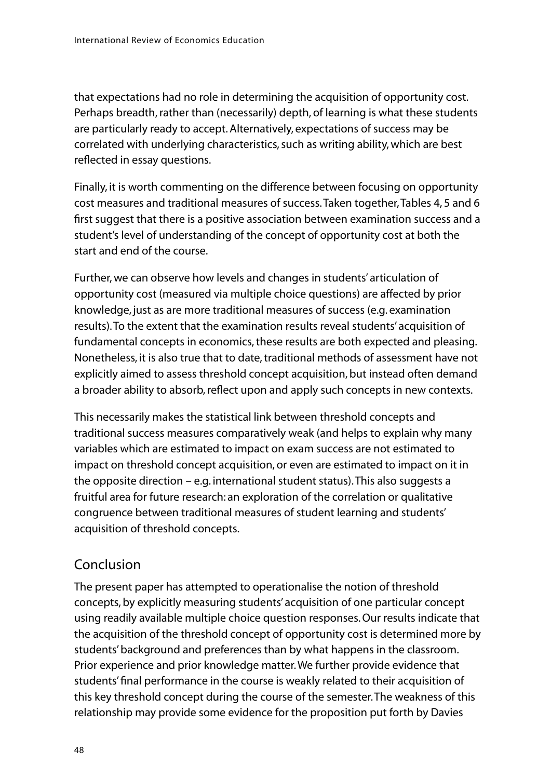that expectations had no role in determining the acquisition of opportunity cost. Perhaps breadth, rather than (necessarily) depth, of learning is what these students are particularly ready to accept. Alternatively, expectations of success may be correlated with underlying characteristics, such as writing ability, which are best reflected in essay questions.

Finally, it is worth commenting on the difference between focusing on opportunity cost measures and traditional measures of success.Taken together,Tables 4, 5 and 6 first suggest that there is a positive association between examination success and a student's level of understanding of the concept of opportunity cost at both the start and end of the course.

Further, we can observe how levels and changes in students' articulation of opportunity cost (measured via multiple choice questions) are affected by prior knowledge, just as are more traditional measures of success (e.g. examination results).To the extent that the examination results reveal students' acquisition of fundamental concepts in economics, these results are both expected and pleasing. Nonetheless, it is also true that to date, traditional methods of assessment have not explicitly aimed to assess threshold concept acquisition, but instead often demand a broader ability to absorb, reflect upon and apply such concepts in new contexts.

This necessarily makes the statistical link between threshold concepts and traditional success measures comparatively weak (and helps to explain why many variables which are estimated to impact on exam success are not estimated to impact on threshold concept acquisition, or even are estimated to impact on it in the opposite direction – e.g. international student status).This also suggests a fruitful area for future research: an exploration of the correlation or qualitative congruence between traditional measures of student learning and students' acquisition of threshold concepts.

# Conclusion

The present paper has attempted to operationalise the notion of threshold concepts, by explicitly measuring students' acquisition of one particular concept using readily available multiple choice question responses. Our results indicate that the acquisition of the threshold concept of opportunity cost is determined more by students'background and preferences than by what happens in the classroom. Prior experience and prior knowledge matter.We further provide evidence that students' final performance in the course is weakly related to their acquisition of this key threshold concept during the course of the semester.The weakness of this relationship may provide some evidence for the proposition put forth by Davies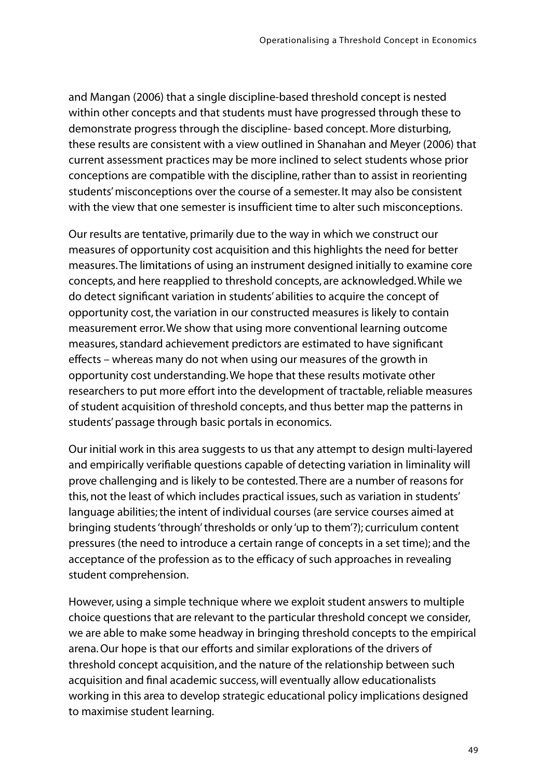and Mangan (2006) that a single discipline-based threshold concept is nested within other concepts and that students must have progressed through these to demonstrate progress through the discipline- based concept. More disturbing, these results are consistent with a view outlined in Shanahan and Meyer (2006) that current assessment practices may be more inclined to select students whose prior conceptions are compatible with the discipline, rather than to assist in reorienting students' misconceptions over the course of a semester. It may also be consistent with the view that one semester is insufficient time to alter such misconceptions.

Our results are tentative, primarily due to the way in which we construct our measures of opportunity cost acquisition and this highlights the need for better measures.The limitations of using an instrument designed initially to examine core concepts, and here reapplied to threshold concepts, are acknowledged.While we do detect significant variation in students' abilities to acquire the concept of opportunity cost, the variation in our constructed measures is likely to contain measurement error.We show that using more conventional learning outcome measures, standard achievement predictors are estimated to have significant effects – whereas many do not when using our measures of the growth in opportunity cost understanding.We hope that these results motivate other researchers to put more effort into the development of tractable, reliable measures of student acquisition of threshold concepts, and thus better map the patterns in students'passage through basic portals in economics.

Our initial work in this area suggests to us that any attempt to design multi-layered and empirically verifiable questions capable of detecting variation in liminality will prove challenging and is likely to be contested.There are a number of reasons for this, not the least of which includes practical issues, such as variation in students' language abilities; the intent of individual courses (are service courses aimed at bringing students 'through' thresholds or only 'up to them'?); curriculum content pressures (the need to introduce a certain range of concepts in a set time); and the acceptance of the profession as to the efficacy of such approaches in revealing student comprehension.

However, using a simple technique where we exploit student answers to multiple choice questions that are relevant to the particular threshold concept we consider, we are able to make some headway in bringing threshold concepts to the empirical arena. Our hope is that our efforts and similar explorations of the drivers of threshold concept acquisition, and the nature of the relationship between such acquisition and final academic success, will eventually allow educationalists working in this area to develop strategic educational policy implications designed to maximise student learning.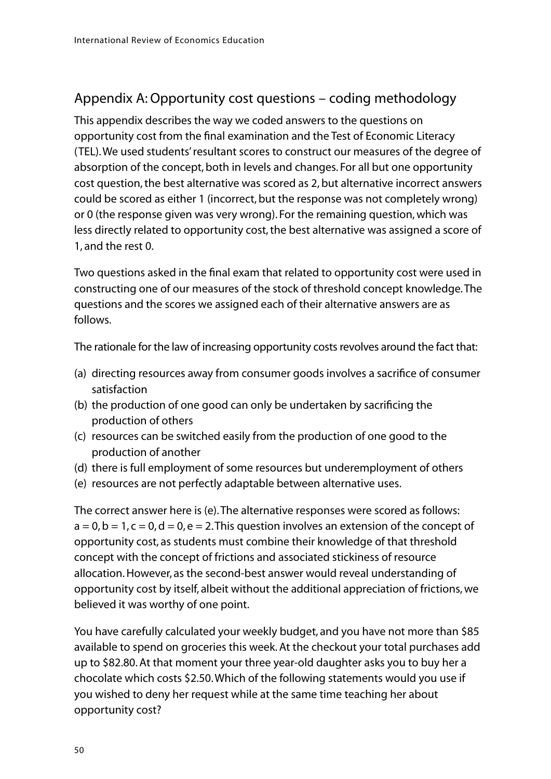# Appendix A: Opportunity cost questions – coding methodology

This appendix describes the way we coded answers to the questions on opportunity cost from the final examination and the Test of Economic Literacy (TEL).We used students' resultant scores to construct our measures of the degree of absorption of the concept, both in levels and changes. For all but one opportunity cost question, the best alternative was scored as 2, but alternative incorrect answers could be scored as either 1 (incorrect, but the response was not completely wrong) or 0 (the response given was very wrong). For the remaining question, which was less directly related to opportunity cost, the best alternative was assigned a score of 1, and the rest 0.

Two questions asked in the final exam that related to opportunity cost were used in constructing one of our measures of the stock of threshold concept knowledge.The questions and the scores we assigned each of their alternative answers are as follows.

The rationale for the law of increasing opportunity costs revolves around the fact that:

- (a) directing resources away from consumer goods involves a sacrifice of consumer satisfaction
- (b) the production of one good can only be undertaken by sacrificing the production of others
- (c) resources can be switched easily from the production of one good to the production of another
- (d) there is full employment of some resources but underemployment of others
- (e) resources are not perfectly adaptable between alternative uses.

The correct answer here is (e).The alternative responses were scored as follows:  $a = 0$ ,  $b = 1$ ,  $c = 0$ ,  $d = 0$ ,  $e = 2$ . This question involves an extension of the concept of opportunity cost, as students must combine their knowledge of that threshold concept with the concept of frictions and associated stickiness of resource allocation. However, as the second-best answer would reveal understanding of opportunity cost by itself, albeit without the additional appreciation of frictions, we believed it was worthy of one point.

You have carefully calculated your weekly budget, and you have not more than \$85 available to spend on groceries this week. At the checkout your total purchases add up to \$82.80.At that moment your three year-old daughter asks you to buy her a chocolate which costs \$2.50.Which of the following statements would you use if you wished to deny her request while at the same time teaching her about opportunity cost?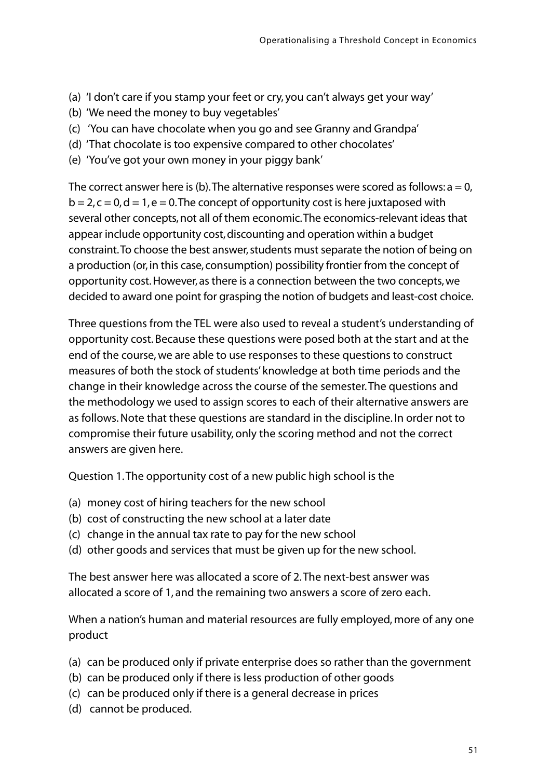- (a) 'I don't care if you stamp your feet or cry, you can't always get your way'
- (b) 'We need the money to buy vegetables'
- (c) 'You can have chocolate when you go and see Granny and Grandpa'
- (d) 'That chocolate is too expensive compared to other chocolates'
- (e) 'You've got your own money in your piggy bank'

The correct answer here is (b). The alternative responses were scored as follows:  $a = 0$ .  $b = 2$ ,  $c = 0$ ,  $d = 1$ ,  $e = 0$ . The concept of opportunity cost is here juxtaposed with several other concepts, not all of them economic.The economics-relevant ideas that appear include opportunity cost, discounting and operation within a budget constraint.To choose the best answer, students must separate the notion of being on a production (or, in this case, consumption) possibility frontier from the concept of opportunity cost. However, as there is a connection between the two concepts, we decided to award one point for grasping the notion of budgets and least-cost choice.

Three questions from the TEL were also used to reveal a student's understanding of opportunity cost. Because these questions were posed both at the start and at the end of the course, we are able to use responses to these questions to construct measures of both the stock of students' knowledge at both time periods and the change in their knowledge across the course of the semester.The questions and the methodology we used to assign scores to each of their alternative answers are as follows. Note that these questions are standard in the discipline. In order not to compromise their future usability, only the scoring method and not the correct answers are given here.

Question 1.The opportunity cost of a new public high school is the

- (a) money cost of hiring teachers for the new school
- (b) cost of constructing the new school at a later date
- (c) change in the annual tax rate to pay for the new school
- (d) other goods and services that must be given up for the new school.

The best answer here was allocated a score of 2.The next-best answer was allocated a score of 1, and the remaining two answers a score of zero each.

When a nation's human and material resources are fully employed, more of any one product

- (a) can be produced only if private enterprise does so rather than the government
- (b) can be produced only if there is less production of other goods
- (c) can be produced only if there is a general decrease in prices
- (d) cannot be produced.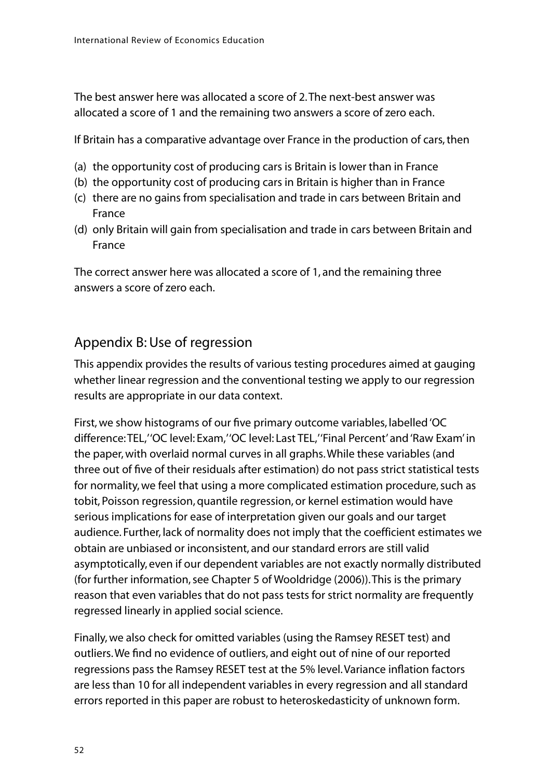The best answer here was allocated a score of 2.The next-best answer was allocated a score of 1 and the remaining two answers a score of zero each.

If Britain has a comparative advantage over France in the production of cars, then

- (a) the opportunity cost of producing cars is Britain is lower than in France
- (b) the opportunity cost of producing cars in Britain is higher than in France
- (c) there are no gains from specialisation and trade in cars between Britain and France
- (d) only Britain will gain from specialisation and trade in cars between Britain and France

The correct answer here was allocated a score of 1, and the remaining three answers a score of zero each.

## Appendix B: Use of regression

This appendix provides the results of various testing procedures aimed at gauging whether linear regression and the conventional testing we apply to our regression results are appropriate in our data context.

First, we show histograms of our five primary outcome variables, labelled 'OC difference:TEL,''OC level: Exam,''OC level: Last TEL,''Final Percent' and 'Raw Exam' in the paper, with overlaid normal curves in all graphs.While these variables (and three out of five of their residuals after estimation) do not pass strict statistical tests for normality, we feel that using a more complicated estimation procedure, such as tobit, Poisson regression, quantile regression, or kernel estimation would have serious implications for ease of interpretation given our goals and our target audience. Further, lack of normality does not imply that the coefficient estimates we obtain are unbiased or inconsistent, and our standard errors are still valid asymptotically, even if our dependent variables are not exactly normally distributed (for further information, see Chapter 5 of Wooldridge (2006)).This is the primary reason that even variables that do not pass tests for strict normality are frequently regressed linearly in applied social science.

Finally, we also check for omitted variables (using the Ramsey RESET test) and outliers.We find no evidence of outliers, and eight out of nine of our reported regressions pass the Ramsey RESET test at the 5% level. Variance inflation factors are less than 10 for all independent variables in every regression and all standard errors reported in this paper are robust to heteroskedasticity of unknown form.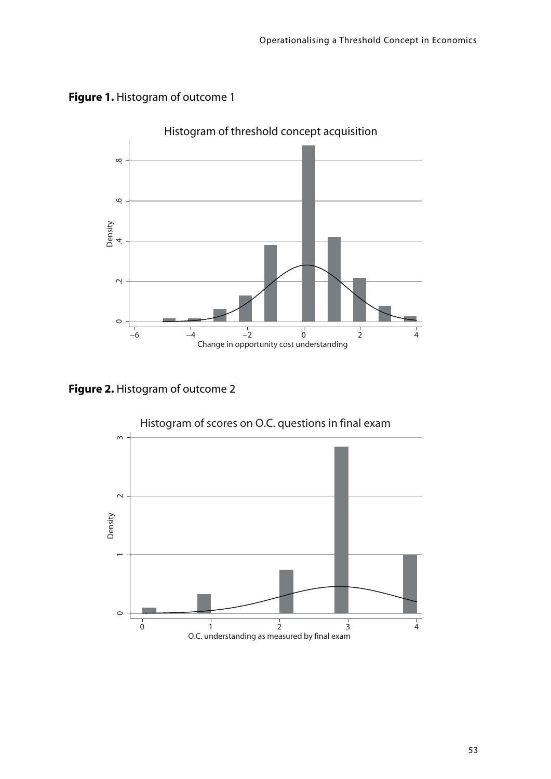

**Figure 1.** Histogram of outcome 1

**Figure 2.** Histogram of outcome 2

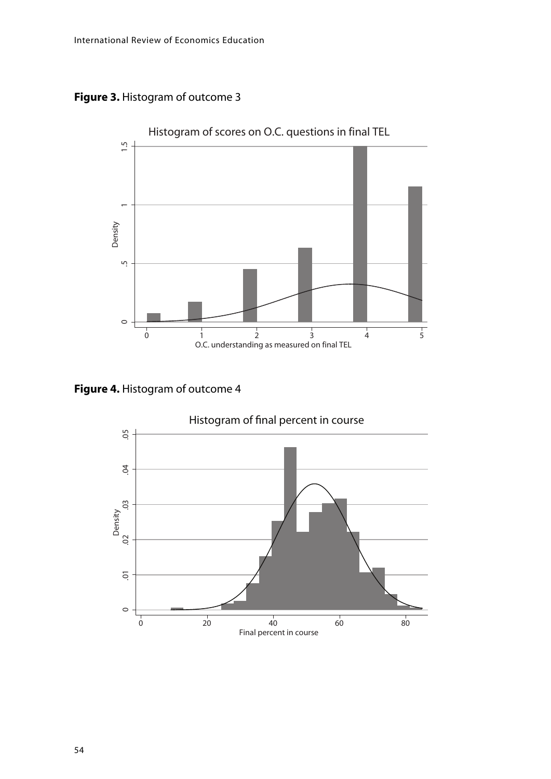**Figure 3.** Histogram of outcome 3



**Figure 4.** Histogram of outcome 4

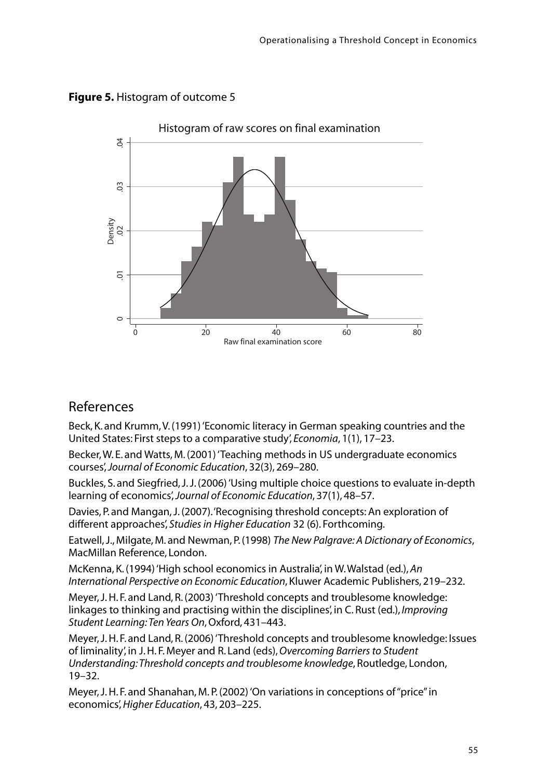

**Figure 5.** Histogram of outcome 5

## References

Beck, K. and Krumm, V. (1991) 'Economic literacy in German speaking countries and the United States: First steps to a comparative study', *Economia*, 1(1), 17–23.

Becker, W. E. and Watts, M. (2001) 'Teaching methods in US undergraduate economics courses',*Journal of Economic Education*, 32(3), 269–280.

Buckles, S. and Siegfried, J. J. (2006) 'Using multiple choice questions to evaluate in-depth learning of economics',*Journal of Economic Education*, 37(1), 48–57.

Davies, P. and Mangan, J. (2007).'Recognising threshold concepts: An exploration of different approaches', *Studies in Higher Education* 32 (6). Forthcoming.

Eatwell, J., Milgate, M. and Newman, P. (1998) *The New Palgrave: A Dictionary of Economics*, MacMillan Reference, London.

McKenna, K. (1994) 'High school economics in Australia', in W.Walstad (ed.),*An International Perspective on Economic Education*, Kluwer Academic Publishers, 219–232.

Meyer,J.H. F. and Land, R. (2003) 'Threshold concepts and troublesome knowledge: linkages to thinking and practising within the disciplines', in C. Rust (ed.), *Improving Student Learning: Ten Years On*,Oxford, 431–443.

Meyer, J. H. F. and Land, R. (2006) 'Threshold concepts and troublesome knowledge: Issues of liminality', in J. H. F. Meyer and R. Land (eds),*Overcoming Barriers to Student Understanding: Threshold concepts and troublesome knowledge*, Routledge, London, 19–32.

Meyer, J. H. F. and Shanahan, M. P. (2002) 'On variations in conceptions of "price" in economics',*Higher Education*, 43, 203–225.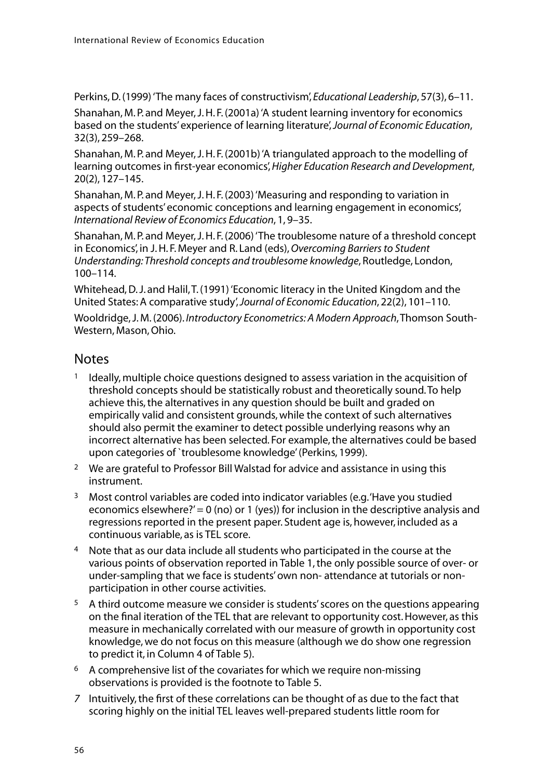Perkins, D. (1999) 'The many faces of constructivism', *Educational Leadership*, 57(3), 6–11.

Shanahan, M. P. and Meyer, J. H. F. (2001a) 'A student learning inventory for economics based on the students' experience of learning literature',*Journal of Economic Education*, 32(3), 259–268.

Shanahan, M. P. and Meyer, J. H. F. (2001b) 'A triangulated approach to the modelling of learning outcomes in first-year economics',*Higher Education Research and Development*, 20(2), 127–145.

Shanahan, M. P. and Meyer, J. H. F. (2003) 'Measuring and responding to variation in aspects of students' economic conceptions and learning engagement in economics', *International Review of Economics Education*, 1, 9–35.

Shanahan, M. P. and Meyer, J. H. F. (2006) 'The troublesome nature of a threshold concept in Economics', in J. H. F. Meyer and R. Land (eds),*Overcoming Barriers to Student Understanding: Threshold concepts and troublesome knowledge*, Routledge, London, 100–114.

Whitehead, D. J. and Halil,T. (1991) 'Economic literacy in the United Kingdom and the United States: A comparative study',*Journal of Economic Education*, 22(2), 101–110.

Wooldridge, J. M. (2006). *Introductory Econometrics: A Modern Approach*,Thomson South-Western, Mason, Ohio.

### **Notes**

- 1 Ideally, multiple choice questions designed to assess variation in the acquisition of threshold concepts should be statistically robust and theoretically sound.To help achieve this, the alternatives in any question should be built and graded on empirically valid and consistent grounds, while the context of such alternatives should also permit the examiner to detect possible underlying reasons why an incorrect alternative has been selected. For example, the alternatives could be based upon categories of `troublesome knowledge' (Perkins, 1999).
- 2 We are grateful to Professor Bill Walstad for advice and assistance in using this instrument.
- <sup>3</sup> Most control variables are coded into indicator variables (e.g. 'Have you studied economics elsewhere?'  $= 0$  (no) or 1 (yes)) for inclusion in the descriptive analysis and regressions reported in the present paper. Student age is, however, included as a continuous variable, as is TEL score.
- 4 Note that as our data include all students who participated in the course at the various points of observation reported in Table 1, the only possible source of over- or under-sampling that we face is students'own non- attendance at tutorials or nonparticipation in other course activities.
- <sup>5</sup> A third outcome measure we consider is students' scores on the questions appearing on the final iteration of the TEL that are relevant to opportunity cost. However, as this measure in mechanically correlated with our measure of growth in opportunity cost knowledge, we do not focus on this measure (although we do show one regression to predict it, in Column 4 of Table 5).
- 6 A comprehensive list of the covariates for which we require non-missing observations is provided is the footnote to Table 5.
- *7* Intuitively, the first of these correlations can be thought of as due to the fact that scoring highly on the initial TEL leaves well-prepared students little room for